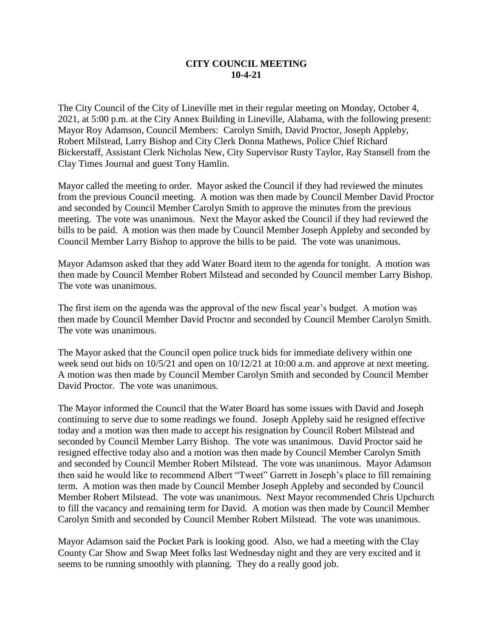## **CITY COUNCIL MEETING 10-4-21**

The City Council of the City of Lineville met in their regular meeting on Monday, October 4, 2021, at 5:00 p.m. at the City Annex Building in Lineville, Alabama, with the following present: Mayor Roy Adamson, Council Members: Carolyn Smith, David Proctor, Joseph Appleby, Robert Milstead, Larry Bishop and City Clerk Donna Mathews, Police Chief Richard Bickerstaff, Assistant Clerk Nicholas New, City Supervisor Rusty Taylor, Ray Stansell from the Clay Times Journal and guest Tony Hamlin.

Mayor called the meeting to order. Mayor asked the Council if they had reviewed the minutes from the previous Council meeting. A motion was then made by Council Member David Proctor and seconded by Council Member Carolyn Smith to approve the minutes from the previous meeting. The vote was unanimous. Next the Mayor asked the Council if they had reviewed the bills to be paid. A motion was then made by Council Member Joseph Appleby and seconded by Council Member Larry Bishop to approve the bills to be paid. The vote was unanimous.

Mayor Adamson asked that they add Water Board item to the agenda for tonight. A motion was then made by Council Member Robert Milstead and seconded by Council member Larry Bishop. The vote was unanimous.

The first item on the agenda was the approval of the new fiscal year's budget. A motion was then made by Council Member David Proctor and seconded by Council Member Carolyn Smith. The vote was unanimous.

The Mayor asked that the Council open police truck bids for immediate delivery within one week send out bids on  $10/5/21$  and open on  $10/12/21$  at  $10:00$  a.m. and approve at next meeting. A motion was then made by Council Member Carolyn Smith and seconded by Council Member David Proctor. The vote was unanimous.

The Mayor informed the Council that the Water Board has some issues with David and Joseph continuing to serve due to some readings we found. Joseph Appleby said he resigned effective today and a motion was then made to accept his resignation by Council Robert Milstead and seconded by Council Member Larry Bishop. The vote was unanimous. David Proctor said he resigned effective today also and a motion was then made by Council Member Carolyn Smith and seconded by Council Member Robert Milstead. The vote was unanimous. Mayor Adamson then said he would like to recommend Albert "Tweet" Garrett in Joseph's place to fill remaining term. A motion was then made by Council Member Joseph Appleby and seconded by Council Member Robert Milstead. The vote was unanimous. Next Mayor recommended Chris Upchurch to fill the vacancy and remaining term for David. A motion was then made by Council Member Carolyn Smith and seconded by Council Member Robert Milstead. The vote was unanimous.

Mayor Adamson said the Pocket Park is looking good. Also, we had a meeting with the Clay County Car Show and Swap Meet folks last Wednesday night and they are very excited and it seems to be running smoothly with planning. They do a really good job.